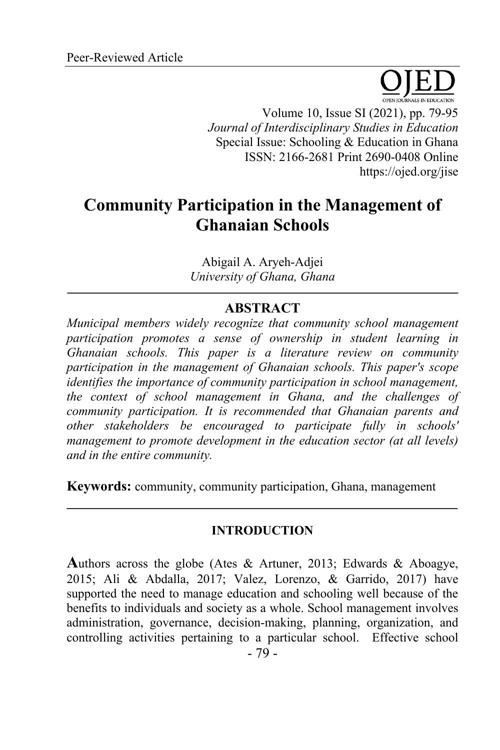Volume 10, Issue SI (2021), pp. 79-95

*Journal of Interdisciplinary Studies in Education* Special Issue: Schooling & Education in Ghana ISSN: 2166-2681 Print 2690-0408 Online https://ojed.org/jise

# **Community Participation in the Management of Ghanaian Schools**

Abigail A. Aryeh-Adjei *University of Ghana, Ghana*

# **ABSTRACT**

*Municipal members widely recognize that community school management participation promotes a sense of ownership in student learning in Ghanaian schools. This paper is a literature review on community participation in the management of Ghanaian schools. This paper's scope identifies the importance of community participation in school management, the context of school management in Ghana, and the challenges of community participation. It is recommended that Ghanaian parents and other stakeholders be encouraged to participate fully in schools' management to promote development in the education sector (at all levels) and in the entire community.*

**Keywords:** community, community participation, Ghana, management

#### **INTRODUCTION**

**A**uthors across the globe (Ates & Artuner, 2013; Edwards & Aboagye, 2015; Ali & Abdalla, 2017; Valez, Lorenzo, & Garrido, 2017) have supported the need to manage education and schooling well because of the benefits to individuals and society as a whole. School management involves administration, governance, decision-making, planning, organization, and controlling activities pertaining to a particular school. Effective school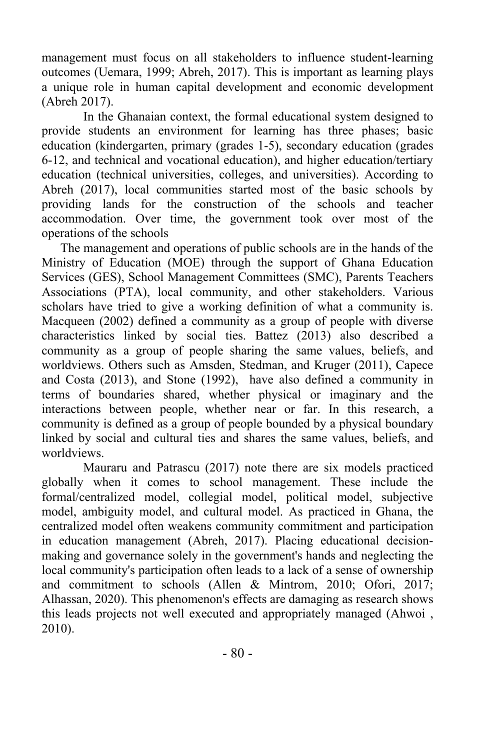management must focus on all stakeholders to influence student-learning outcomes (Uemara, 1999; Abreh, 2017). This is important as learning plays a unique role in human capital development and economic development (Abreh 2017).

In the Ghanaian context, the formal educational system designed to provide students an environment for learning has three phases; basic education (kindergarten, primary (grades 1-5), secondary education (grades 6-12, and technical and vocational education), and higher education/tertiary education (technical universities, colleges, and universities). According to Abreh (2017), local communities started most of the basic schools by providing lands for the construction of the schools and teacher accommodation. Over time, the government took over most of the operations of the schools

The management and operations of public schools are in the hands of the Ministry of Education (MOE) through the support of Ghana Education Services (GES), School Management Committees (SMC), Parents Teachers Associations (PTA), local community, and other stakeholders. Various scholars have tried to give a working definition of what a community is. Macqueen (2002) defined a community as a group of people with diverse characteristics linked by social ties. Battez (2013) also described a community as a group of people sharing the same values, beliefs, and worldviews. Others such as Amsden, Stedman, and Kruger (2011), Capece and Costa (2013), and Stone (1992), have also defined a community in terms of boundaries shared, whether physical or imaginary and the interactions between people, whether near or far. In this research, a community is defined as a group of people bounded by a physical boundary linked by social and cultural ties and shares the same values, beliefs, and worldviews.

Mauraru and Patrascu (2017) note there are six models practiced globally when it comes to school management. These include the formal/centralized model, collegial model, political model, subjective model, ambiguity model, and cultural model. As practiced in Ghana, the centralized model often weakens community commitment and participation in education management (Abreh, 2017). Placing educational decisionmaking and governance solely in the government's hands and neglecting the local community's participation often leads to a lack of a sense of ownership and commitment to schools (Allen & Mintrom, 2010; Ofori, 2017; Alhassan, 2020). This phenomenon's effects are damaging as research shows this leads projects not well executed and appropriately managed (Ahwoi , 2010).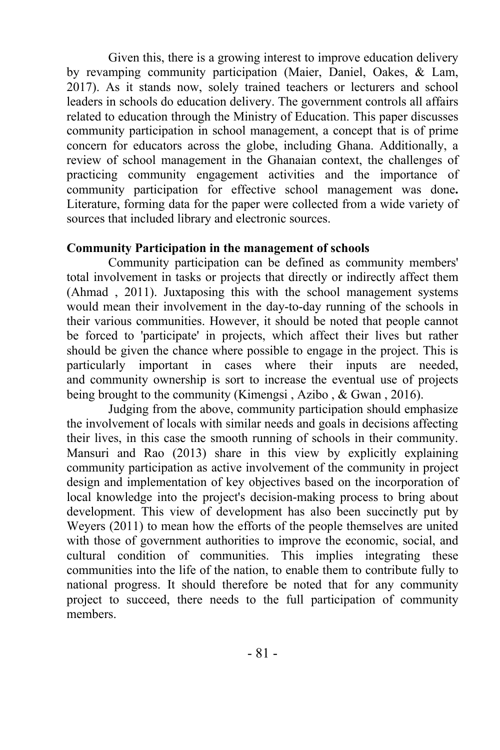Given this, there is a growing interest to improve education delivery by revamping community participation (Maier, Daniel, Oakes, & Lam, 2017). As it stands now, solely trained teachers or lecturers and school leaders in schools do education delivery. The government controls all affairs related to education through the Ministry of Education. This paper discusses community participation in school management, a concept that is of prime concern for educators across the globe, including Ghana. Additionally, a review of school management in the Ghanaian context, the challenges of practicing community engagement activities and the importance of community participation for effective school management was done**.** Literature, forming data for the paper were collected from a wide variety of sources that included library and electronic sources.

#### **Community Participation in the management of schools**

Community participation can be defined as community members' total involvement in tasks or projects that directly or indirectly affect them (Ahmad , 2011). Juxtaposing this with the school management systems would mean their involvement in the day-to-day running of the schools in their various communities. However, it should be noted that people cannot be forced to 'participate' in projects, which affect their lives but rather should be given the chance where possible to engage in the project. This is particularly important in cases where their inputs are needed, and community ownership is sort to increase the eventual use of projects being brought to the community (Kimengsi , Azibo , & Gwan , 2016).

Judging from the above, community participation should emphasize the involvement of locals with similar needs and goals in decisions affecting their lives, in this case the smooth running of schools in their community. Mansuri and Rao (2013) share in this view by explicitly explaining community participation as active involvement of the community in project design and implementation of key objectives based on the incorporation of local knowledge into the project's decision-making process to bring about development. This view of development has also been succinctly put by Weyers (2011) to mean how the efforts of the people themselves are united with those of government authorities to improve the economic, social, and cultural condition of communities. This implies integrating these communities into the life of the nation, to enable them to contribute fully to national progress. It should therefore be noted that for any community project to succeed, there needs to the full participation of community members.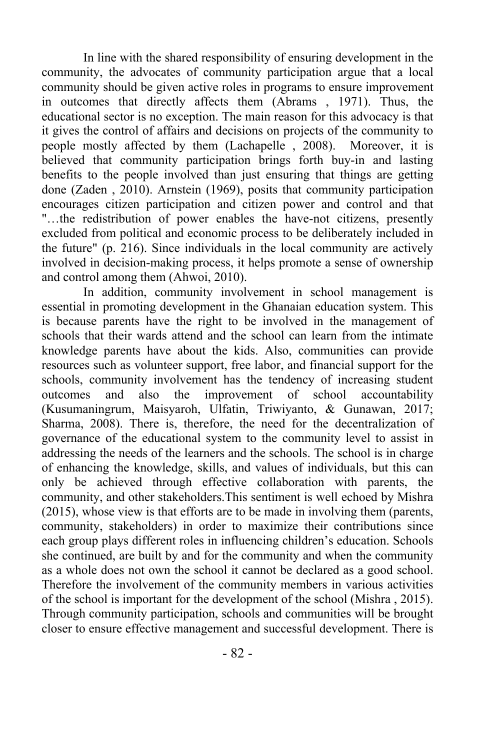In line with the shared responsibility of ensuring development in the community, the advocates of community participation argue that a local community should be given active roles in programs to ensure improvement in outcomes that directly affects them (Abrams , 1971). Thus, the educational sector is no exception. The main reason for this advocacy is that it gives the control of affairs and decisions on projects of the community to people mostly affected by them (Lachapelle , 2008). Moreover, it is believed that community participation brings forth buy-in and lasting benefits to the people involved than just ensuring that things are getting done (Zaden , 2010). Arnstein (1969), posits that community participation encourages citizen participation and citizen power and control and that "…the redistribution of power enables the have-not citizens, presently excluded from political and economic process to be deliberately included in the future" (p. 216). Since individuals in the local community are actively involved in decision-making process, it helps promote a sense of ownership and control among them (Ahwoi, 2010).

In addition, community involvement in school management is essential in promoting development in the Ghanaian education system. This is because parents have the right to be involved in the management of schools that their wards attend and the school can learn from the intimate knowledge parents have about the kids. Also, communities can provide resources such as volunteer support, free labor, and financial support for the schools, community involvement has the tendency of increasing student outcomes and also the improvement of school accountability (Kusumaningrum, Maisyaroh, Ulfatin, Triwiyanto, & Gunawan, 2017; Sharma, 2008). There is, therefore, the need for the decentralization of governance of the educational system to the community level to assist in addressing the needs of the learners and the schools. The school is in charge of enhancing the knowledge, skills, and values of individuals, but this can only be achieved through effective collaboration with parents, the community, and other stakeholders.This sentiment is well echoed by Mishra (2015), whose view is that efforts are to be made in involving them (parents, community, stakeholders) in order to maximize their contributions since each group plays different roles in influencing children's education. Schools she continued, are built by and for the community and when the community as a whole does not own the school it cannot be declared as a good school. Therefore the involvement of the community members in various activities of the school is important for the development of the school (Mishra , 2015). Through community participation, schools and communities will be brought closer to ensure effective management and successful development. There is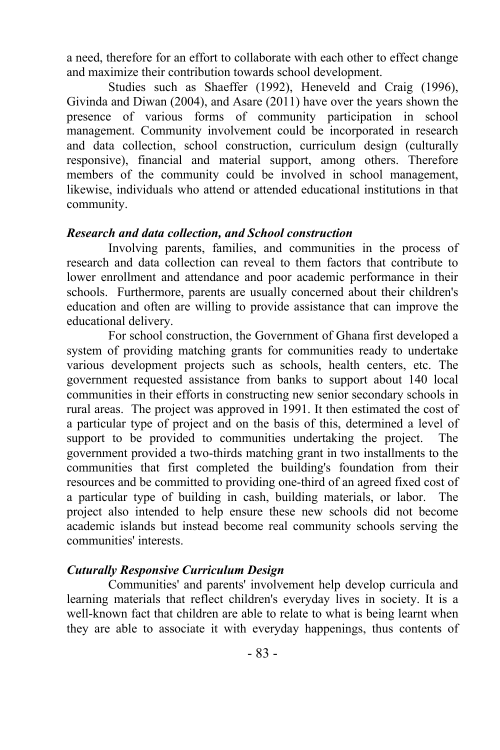a need, therefore for an effort to collaborate with each other to effect change and maximize their contribution towards school development.

Studies such as Shaeffer (1992), Heneveld and Craig (1996), Givinda and Diwan (2004), and Asare (2011) have over the years shown the presence of various forms of community participation in school management. Community involvement could be incorporated in research and data collection, school construction, curriculum design (culturally responsive), financial and material support, among others. Therefore members of the community could be involved in school management, likewise, individuals who attend or attended educational institutions in that community.

#### *Research and data collection, and School construction*

Involving parents, families, and communities in the process of research and data collection can reveal to them factors that contribute to lower enrollment and attendance and poor academic performance in their schools. Furthermore, parents are usually concerned about their children's education and often are willing to provide assistance that can improve the educational delivery.

For school construction, the Government of Ghana first developed a system of providing matching grants for communities ready to undertake various development projects such as schools, health centers, etc. The government requested assistance from banks to support about 140 local communities in their efforts in constructing new senior secondary schools in rural areas. The project was approved in 1991. It then estimated the cost of a particular type of project and on the basis of this, determined a level of support to be provided to communities undertaking the project. The government provided a two-thirds matching grant in two installments to the communities that first completed the building's foundation from their resources and be committed to providing one-third of an agreed fixed cost of a particular type of building in cash, building materials, or labor. The project also intended to help ensure these new schools did not become academic islands but instead become real community schools serving the communities' interests.

#### *Cuturally Responsive Curriculum Design*

Communities' and parents' involvement help develop curricula and learning materials that reflect children's everyday lives in society. It is a well-known fact that children are able to relate to what is being learnt when they are able to associate it with everyday happenings, thus contents of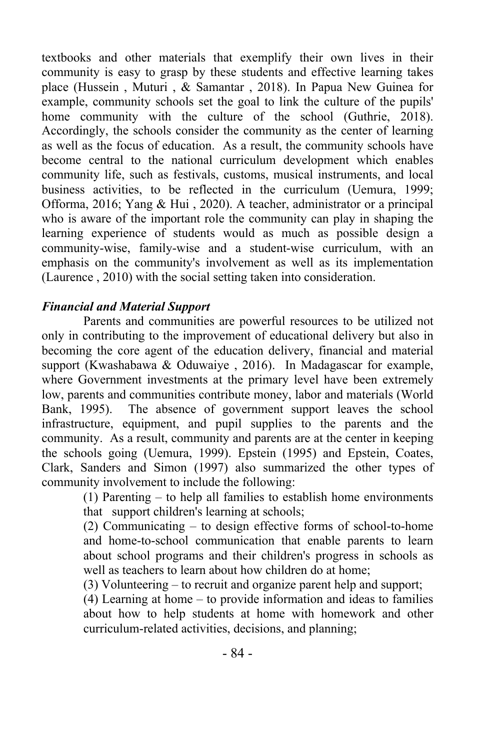textbooks and other materials that exemplify their own lives in their community is easy to grasp by these students and effective learning takes place (Hussein , Muturi , & Samantar , 2018). In Papua New Guinea for example, community schools set the goal to link the culture of the pupils' home community with the culture of the school (Guthrie, 2018). Accordingly, the schools consider the community as the center of learning as well as the focus of education. As a result, the community schools have become central to the national curriculum development which enables community life, such as festivals, customs, musical instruments, and local business activities, to be reflected in the curriculum (Uemura, 1999; Offorma, 2016; Yang & Hui , 2020). A teacher, administrator or a principal who is aware of the important role the community can play in shaping the learning experience of students would as much as possible design a community-wise, family-wise and a student-wise curriculum, with an emphasis on the community's involvement as well as its implementation (Laurence , 2010) with the social setting taken into consideration.

#### *Financial and Material Support*

Parents and communities are powerful resources to be utilized not only in contributing to the improvement of educational delivery but also in becoming the core agent of the education delivery, financial and material support (Kwashabawa & Oduwaiye , 2016). In Madagascar for example, where Government investments at the primary level have been extremely low, parents and communities contribute money, labor and materials (World Bank, 1995). The absence of government support leaves the school infrastructure, equipment, and pupil supplies to the parents and the community. As a result, community and parents are at the center in keeping the schools going (Uemura, 1999). Epstein (1995) and Epstein, Coates, Clark, Sanders and Simon (1997) also summarized the other types of community involvement to include the following:

> (1) Parenting – to help all families to establish home environments that support children's learning at schools;

> (2) Communicating – to design effective forms of school-to-home and home-to-school communication that enable parents to learn about school programs and their children's progress in schools as well as teachers to learn about how children do at home;

(3) Volunteering – to recruit and organize parent help and support;

(4) Learning at home – to provide information and ideas to families about how to help students at home with homework and other curriculum-related activities, decisions, and planning;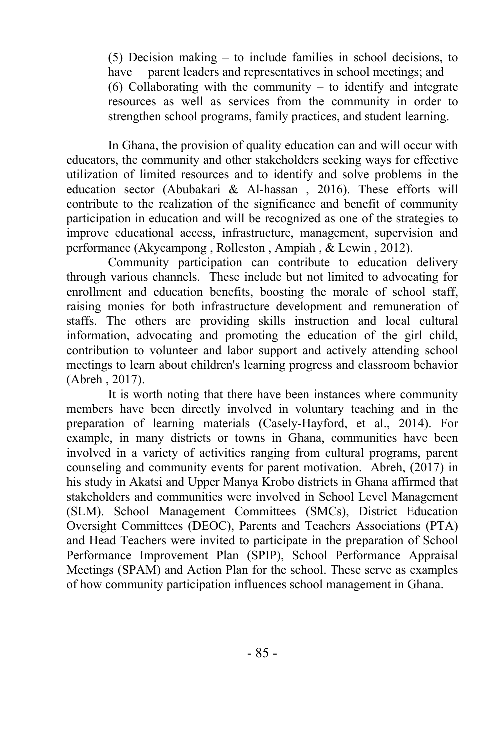(5) Decision making – to include families in school decisions, to have parent leaders and representatives in school meetings; and (6) Collaborating with the community – to identify and integrate resources as well as services from the community in order to strengthen school programs, family practices, and student learning.

In Ghana, the provision of quality education can and will occur with educators, the community and other stakeholders seeking ways for effective utilization of limited resources and to identify and solve problems in the education sector (Abubakari & Al-hassan , 2016). These efforts will contribute to the realization of the significance and benefit of community participation in education and will be recognized as one of the strategies to improve educational access, infrastructure, management, supervision and performance (Akyeampong , Rolleston , Ampiah , & Lewin , 2012).

Community participation can contribute to education delivery through various channels. These include but not limited to advocating for enrollment and education benefits, boosting the morale of school staff, raising monies for both infrastructure development and remuneration of staffs. The others are providing skills instruction and local cultural information, advocating and promoting the education of the girl child, contribution to volunteer and labor support and actively attending school meetings to learn about children's learning progress and classroom behavior (Abreh , 2017).

It is worth noting that there have been instances where community members have been directly involved in voluntary teaching and in the preparation of learning materials (Casely-Hayford, et al., 2014). For example, in many districts or towns in Ghana, communities have been involved in a variety of activities ranging from cultural programs, parent counseling and community events for parent motivation. Abreh, (2017) in his study in Akatsi and Upper Manya Krobo districts in Ghana affirmed that stakeholders and communities were involved in School Level Management (SLM). School Management Committees (SMCs), District Education Oversight Committees (DEOC), Parents and Teachers Associations (PTA) and Head Teachers were invited to participate in the preparation of School Performance Improvement Plan (SPIP), School Performance Appraisal Meetings (SPAM) and Action Plan for the school. These serve as examples of how community participation influences school management in Ghana.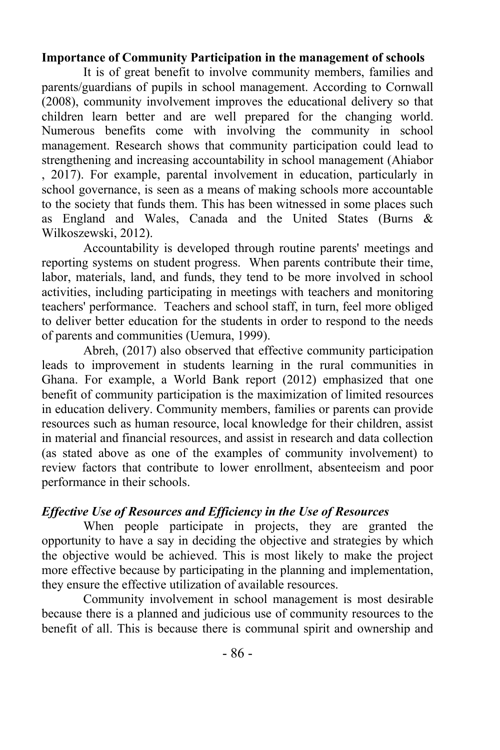#### **Importance of Community Participation in the management of schools**

It is of great benefit to involve community members, families and parents/guardians of pupils in school management. According to Cornwall (2008), community involvement improves the educational delivery so that children learn better and are well prepared for the changing world. Numerous benefits come with involving the community in school management. Research shows that community participation could lead to strengthening and increasing accountability in school management (Ahiabor , 2017). For example, parental involvement in education, particularly in school governance, is seen as a means of making schools more accountable to the society that funds them. This has been witnessed in some places such as England and Wales, Canada and the United States (Burns & Wilkoszewski, 2012).

Accountability is developed through routine parents' meetings and reporting systems on student progress. When parents contribute their time, labor, materials, land, and funds, they tend to be more involved in school activities, including participating in meetings with teachers and monitoring teachers' performance. Teachers and school staff, in turn, feel more obliged to deliver better education for the students in order to respond to the needs of parents and communities (Uemura, 1999).

Abreh, (2017) also observed that effective community participation leads to improvement in students learning in the rural communities in Ghana. For example, a World Bank report (2012) emphasized that one benefit of community participation is the maximization of limited resources in education delivery. Community members, families or parents can provide resources such as human resource, local knowledge for their children, assist in material and financial resources, and assist in research and data collection (as stated above as one of the examples of community involvement) to review factors that contribute to lower enrollment, absenteeism and poor performance in their schools.

#### *Effective Use of Resources and Efficiency in the Use of Resources*

When people participate in projects, they are granted the opportunity to have a say in deciding the objective and strategies by which the objective would be achieved. This is most likely to make the project more effective because by participating in the planning and implementation, they ensure the effective utilization of available resources.

Community involvement in school management is most desirable because there is a planned and judicious use of community resources to the benefit of all. This is because there is communal spirit and ownership and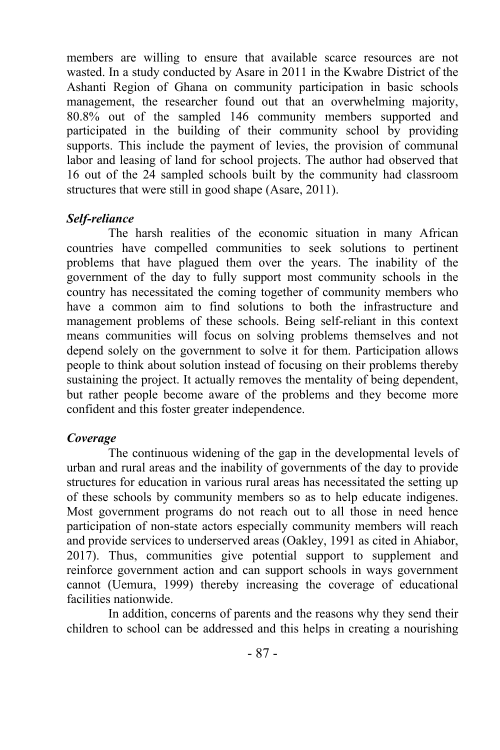members are willing to ensure that available scarce resources are not wasted. In a study conducted by Asare in 2011 in the Kwabre District of the Ashanti Region of Ghana on community participation in basic schools management, the researcher found out that an overwhelming majority, 80.8% out of the sampled 146 community members supported and participated in the building of their community school by providing supports. This include the payment of levies, the provision of communal labor and leasing of land for school projects. The author had observed that 16 out of the 24 sampled schools built by the community had classroom structures that were still in good shape (Asare, 2011).

#### *Self-reliance*

The harsh realities of the economic situation in many African countries have compelled communities to seek solutions to pertinent problems that have plagued them over the years. The inability of the government of the day to fully support most community schools in the country has necessitated the coming together of community members who have a common aim to find solutions to both the infrastructure and management problems of these schools. Being self-reliant in this context means communities will focus on solving problems themselves and not depend solely on the government to solve it for them. Participation allows people to think about solution instead of focusing on their problems thereby sustaining the project. It actually removes the mentality of being dependent, but rather people become aware of the problems and they become more confident and this foster greater independence.

#### *Coverage*

The continuous widening of the gap in the developmental levels of urban and rural areas and the inability of governments of the day to provide structures for education in various rural areas has necessitated the setting up of these schools by community members so as to help educate indigenes. Most government programs do not reach out to all those in need hence participation of non-state actors especially community members will reach and provide services to underserved areas (Oakley, 1991 as cited in Ahiabor, 2017). Thus, communities give potential support to supplement and reinforce government action and can support schools in ways government cannot (Uemura, 1999) thereby increasing the coverage of educational facilities nationwide.

In addition, concerns of parents and the reasons why they send their children to school can be addressed and this helps in creating a nourishing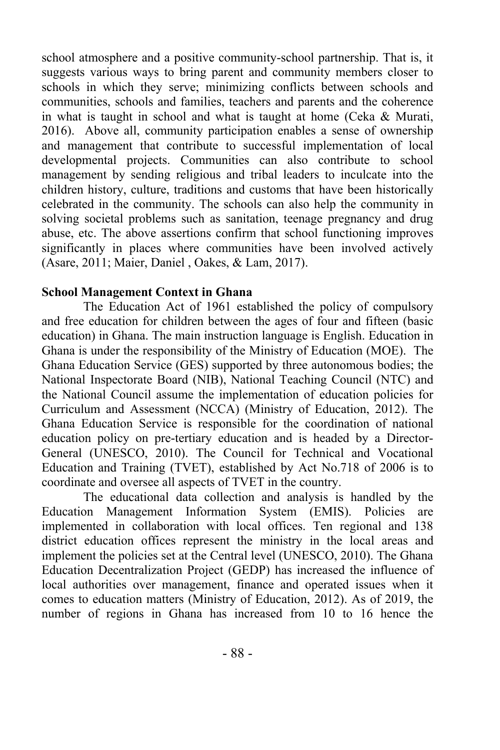school atmosphere and a positive community-school partnership. That is, it suggests various ways to bring parent and community members closer to schools in which they serve; minimizing conflicts between schools and communities, schools and families, teachers and parents and the coherence in what is taught in school and what is taught at home (Ceka & Murati, 2016). Above all, community participation enables a sense of ownership and management that contribute to successful implementation of local developmental projects. Communities can also contribute to school management by sending religious and tribal leaders to inculcate into the children history, culture, traditions and customs that have been historically celebrated in the community. The schools can also help the community in solving societal problems such as sanitation, teenage pregnancy and drug abuse, etc. The above assertions confirm that school functioning improves significantly in places where communities have been involved actively (Asare, 2011; Maier, Daniel , Oakes, & Lam, 2017).

#### **School Management Context in Ghana**

The Education Act of 1961 established the policy of compulsory and free education for children between the ages of four and fifteen (basic education) in Ghana. The main instruction language is English. Education in Ghana is under the responsibility of the Ministry of Education (MOE). The Ghana Education Service (GES) supported by three autonomous bodies; the National Inspectorate Board (NIB), National Teaching Council (NTC) and the National Council assume the implementation of education policies for Curriculum and Assessment (NCCA) (Ministry of Education, 2012). The Ghana Education Service is responsible for the coordination of national education policy on pre-tertiary education and is headed by a Director-General (UNESCO, 2010). The Council for Technical and Vocational Education and Training (TVET), established by Act No.718 of 2006 is to coordinate and oversee all aspects of TVET in the country.

The educational data collection and analysis is handled by the Education Management Information System (EMIS). Policies are implemented in collaboration with local offices. Ten regional and 138 district education offices represent the ministry in the local areas and implement the policies set at the Central level (UNESCO, 2010). The Ghana Education Decentralization Project (GEDP) has increased the influence of local authorities over management, finance and operated issues when it comes to education matters (Ministry of Education, 2012). As of 2019, the number of regions in Ghana has increased from 10 to 16 hence the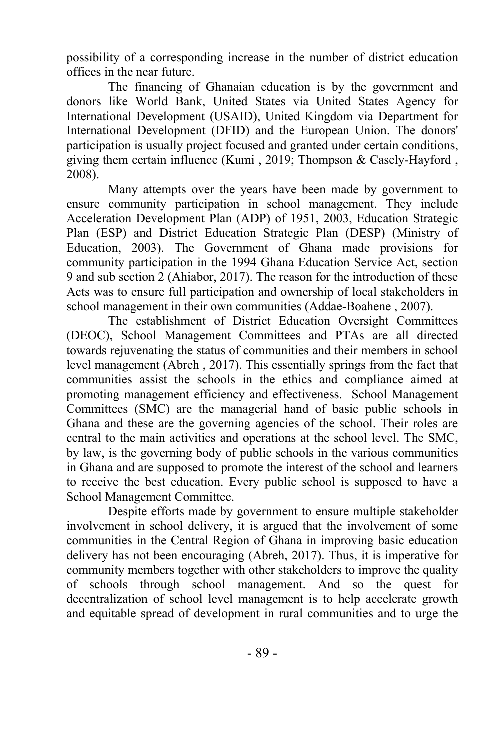possibility of a corresponding increase in the number of district education offices in the near future.

The financing of Ghanaian education is by the government and donors like World Bank, United States via United States Agency for International Development (USAID), United Kingdom via Department for International Development (DFID) and the European Union. The donors' participation is usually project focused and granted under certain conditions, giving them certain influence (Kumi , 2019; Thompson & Casely-Hayford , 2008).

Many attempts over the years have been made by government to ensure community participation in school management. They include Acceleration Development Plan (ADP) of 1951, 2003, Education Strategic Plan (ESP) and District Education Strategic Plan (DESP) (Ministry of Education, 2003). The Government of Ghana made provisions for community participation in the 1994 Ghana Education Service Act, section 9 and sub section 2 (Ahiabor, 2017). The reason for the introduction of these Acts was to ensure full participation and ownership of local stakeholders in school management in their own communities (Addae-Boahene , 2007).

The establishment of District Education Oversight Committees (DEOC), School Management Committees and PTAs are all directed towards rejuvenating the status of communities and their members in school level management (Abreh , 2017). This essentially springs from the fact that communities assist the schools in the ethics and compliance aimed at promoting management efficiency and effectiveness. School Management Committees (SMC) are the managerial hand of basic public schools in Ghana and these are the governing agencies of the school. Their roles are central to the main activities and operations at the school level. The SMC, by law, is the governing body of public schools in the various communities in Ghana and are supposed to promote the interest of the school and learners to receive the best education. Every public school is supposed to have a School Management Committee.

Despite efforts made by government to ensure multiple stakeholder involvement in school delivery, it is argued that the involvement of some communities in the Central Region of Ghana in improving basic education delivery has not been encouraging (Abreh, 2017). Thus, it is imperative for community members together with other stakeholders to improve the quality of schools through school management. And so the quest for decentralization of school level management is to help accelerate growth and equitable spread of development in rural communities and to urge the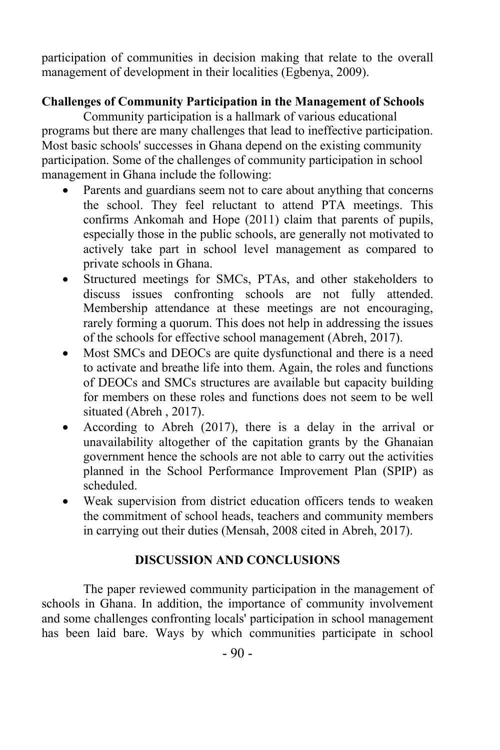participation of communities in decision making that relate to the overall management of development in their localities (Egbenya, 2009).

## **Challenges of Community Participation in the Management of Schools**

Community participation is a hallmark of various educational programs but there are many challenges that lead to ineffective participation. Most basic schools' successes in Ghana depend on the existing community participation. Some of the challenges of community participation in school management in Ghana include the following:

- Parents and guardians seem not to care about anything that concerns the school. They feel reluctant to attend PTA meetings. This confirms Ankomah and Hope (2011) claim that parents of pupils, especially those in the public schools, are generally not motivated to actively take part in school level management as compared to private schools in Ghana.
- Structured meetings for SMCs, PTAs, and other stakeholders to discuss issues confronting schools are not fully attended. Membership attendance at these meetings are not encouraging, rarely forming a quorum. This does not help in addressing the issues of the schools for effective school management (Abreh, 2017).
- Most SMCs and DEOCs are quite dysfunctional and there is a need to activate and breathe life into them. Again, the roles and functions of DEOCs and SMCs structures are available but capacity building for members on these roles and functions does not seem to be well situated (Abreh , 2017).
- According to Abreh (2017), there is a delay in the arrival or unavailability altogether of the capitation grants by the Ghanaian government hence the schools are not able to carry out the activities planned in the School Performance Improvement Plan (SPIP) as scheduled.
- Weak supervision from district education officers tends to weaken the commitment of school heads, teachers and community members in carrying out their duties (Mensah, 2008 cited in Abreh, 2017).

### **DISCUSSION AND CONCLUSIONS**

The paper reviewed community participation in the management of schools in Ghana. In addition, the importance of community involvement and some challenges confronting locals' participation in school management has been laid bare. Ways by which communities participate in school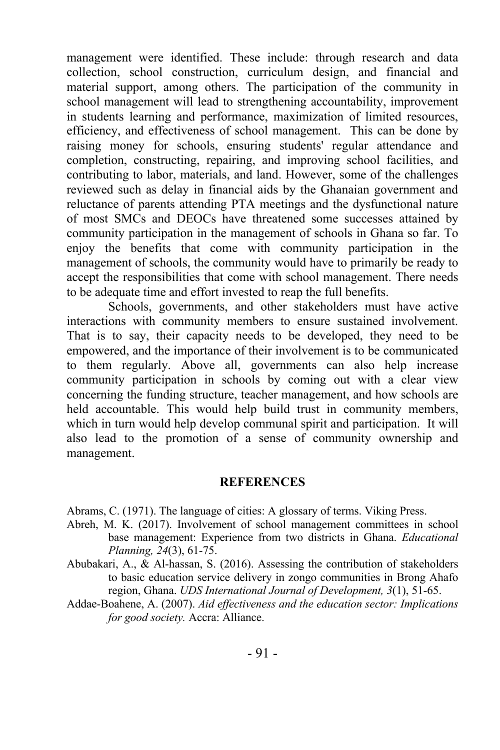management were identified. These include: through research and data collection, school construction, curriculum design, and financial and material support, among others. The participation of the community in school management will lead to strengthening accountability, improvement in students learning and performance, maximization of limited resources, efficiency, and effectiveness of school management. This can be done by raising money for schools, ensuring students' regular attendance and completion, constructing, repairing, and improving school facilities, and contributing to labor, materials, and land. However, some of the challenges reviewed such as delay in financial aids by the Ghanaian government and reluctance of parents attending PTA meetings and the dysfunctional nature of most SMCs and DEOCs have threatened some successes attained by community participation in the management of schools in Ghana so far. To enjoy the benefits that come with community participation in the management of schools, the community would have to primarily be ready to accept the responsibilities that come with school management. There needs to be adequate time and effort invested to reap the full benefits.

Schools, governments, and other stakeholders must have active interactions with community members to ensure sustained involvement. That is to say, their capacity needs to be developed, they need to be empowered, and the importance of their involvement is to be communicated to them regularly. Above all, governments can also help increase community participation in schools by coming out with a clear view concerning the funding structure, teacher management, and how schools are held accountable. This would help build trust in community members, which in turn would help develop communal spirit and participation. It will also lead to the promotion of a sense of community ownership and management.

#### **REFERENCES**

Abrams, C. (1971). The language of cities: A glossary of terms. Viking Press.

- Abreh, M. K. (2017). Involvement of school management committees in school base management: Experience from two districts in Ghana. *Educational Planning, 24*(3), 61-75.
- Abubakari, A., & Al-hassan, S. (2016). Assessing the contribution of stakeholders to basic education service delivery in zongo communities in Brong Ahafo region, Ghana. *UDS International Journal of Development, 3*(1), 51-65.
- Addae-Boahene, A. (2007). *Aid effectiveness and the education sector: Implications for good society.* Accra: Alliance.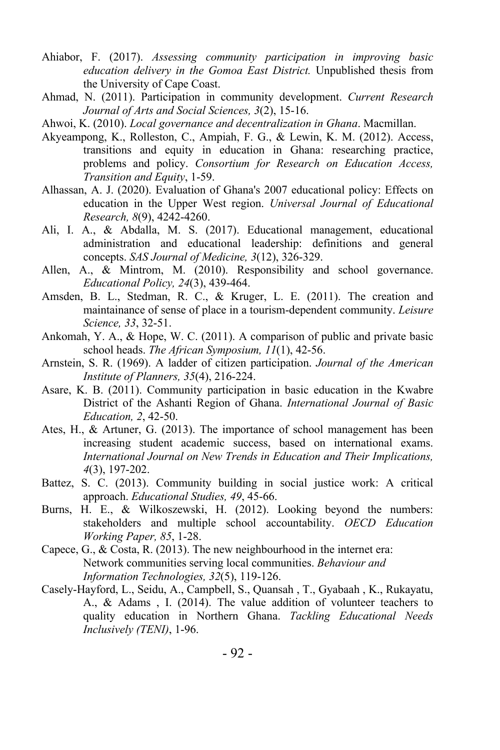- Ahiabor, F. (2017). *Assessing community participation in improving basic education delivery in the Gomoa East District.* Unpublished thesis from the University of Cape Coast.
- Ahmad, N. (2011). Participation in community development. *Current Research Journal of Arts and Social Sciences, 3*(2), 15-16.
- Ahwoi, K. (2010). *Local governance and decentralization in Ghana*. Macmillan.
- Akyeampong, K., Rolleston, C., Ampiah, F. G., & Lewin, K. M. (2012). Access, transitions and equity in education in Ghana: researching practice, problems and policy. *Consortium for Research on Education Access, Transition and Equity*, 1-59.
- Alhassan, A. J. (2020). Evaluation of Ghana's 2007 educational policy: Effects on education in the Upper West region. *Universal Journal of Educational Research, 8*(9), 4242-4260.
- Ali, I. A., & Abdalla, M. S. (2017). Educational management, educational administration and educational leadership: definitions and general concepts. *SAS Journal of Medicine, 3*(12), 326-329.
- Allen, A., & Mintrom, M. (2010). Responsibility and school governance. *Educational Policy, 24*(3), 439-464.
- Amsden, B. L., Stedman, R. C., & Kruger, L. E. (2011). The creation and maintainance of sense of place in a tourism-dependent community. *Leisure Science, 33*, 32-51.
- Ankomah, Y. A., & Hope, W. C. (2011). A comparison of public and private basic school heads. *The African Symposium, 11*(1), 42-56.
- Arnstein, S. R. (1969). A ladder of citizen participation. *Journal of the American Institute of Planners, 35*(4), 216-224.
- Asare, K. B. (2011). Community participation in basic education in the Kwabre District of the Ashanti Region of Ghana. *International Journal of Basic Education, 2*, 42-50.
- Ates, H., & Artuner, G. (2013). The importance of school management has been increasing student academic success, based on international exams. *International Journal on New Trends in Education and Their Implications, 4*(3), 197-202.
- Battez, S. C. (2013). Community building in social justice work: A critical approach. *Educational Studies, 49*, 45-66.
- Burns, H. E., & Wilkoszewski, H. (2012). Looking beyond the numbers: stakeholders and multiple school accountability. *OECD Education Working Paper, 85*, 1-28.
- Capece, G., & Costa, R. (2013). The new neighbourhood in the internet era: Network communities serving local communities. *Behaviour and Information Technologies, 32*(5), 119-126.
- Casely-Hayford, L., Seidu, A., Campbell, S., Quansah , T., Gyabaah , K., Rukayatu, A., & Adams , I. (2014). The value addition of volunteer teachers to quality education in Northern Ghana. *Tackling Educational Needs Inclusively (TENI)*, 1-96.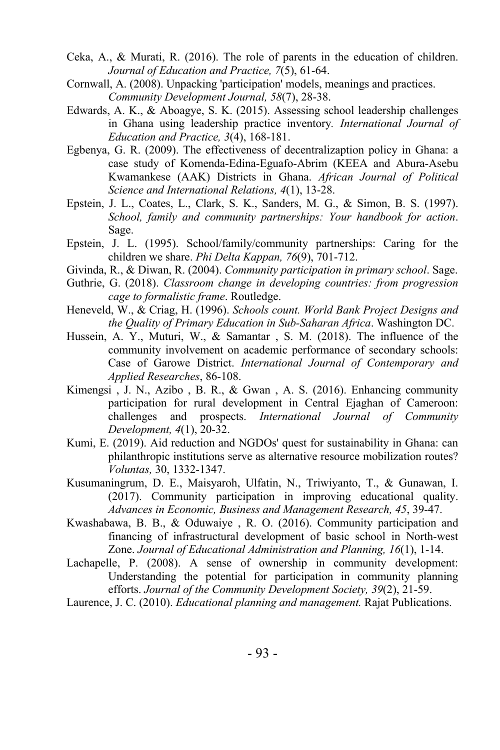- Ceka, A., & Murati, R. (2016). The role of parents in the education of children. *Journal of Education and Practice, 7*(5), 61-64.
- Cornwall, A. (2008). Unpacking 'participation' models, meanings and practices. *Community Development Journal, 58*(7), 28-38.
- Edwards, A. K., & Aboagye, S. K. (2015). Assessing school leadership challenges in Ghana using leadership practice inventory*. International Journal of Education and Practice, 3*(4), 168-181.
- Egbenya, G. R. (2009). The effectiveness of decentralizaption policy in Ghana: a case study of Komenda-Edina-Eguafo-Abrim (KEEA and Abura-Asebu Kwamankese (AAK) Districts in Ghana. *African Journal of Political Science and International Relations, 4*(1), 13-28.
- Epstein, J. L., Coates, L., Clark, S. K., Sanders, M. G., & Simon, B. S. (1997). *School, family and community partnerships: Your handbook for action*. Sage.
- Epstein, J. L. (1995). School/family/community partnerships: Caring for the children we share. *Phi Delta Kappan, 76*(9), 701-712.
- Givinda, R., & Diwan, R. (2004). *Community participation in primary school*. Sage.
- Guthrie, G. (2018). *Classroom change in developing countries: from progression cage to formalistic frame*. Routledge.
- Heneveld, W., & Criag, H. (1996). *Schools count. World Bank Project Designs and the Quality of Primary Education in Sub-Saharan Africa*. Washington DC.
- Hussein, A. Y., Muturi, W., & Samantar , S. M. (2018). The influence of the community involvement on academic performance of secondary schools: Case of Garowe District. *International Journal of Contemporary and Applied Researches*, 86-108.
- Kimengsi , J. N., Azibo , B. R., & Gwan , A. S. (2016). Enhancing community participation for rural development in Central Ejaghan of Cameroon: challenges and prospects. *International Journal of Community Development, 4*(1), 20-32.
- Kumi, E. (2019). Aid reduction and NGDOs' quest for sustainability in Ghana: can philanthropic institutions serve as alternative resource mobilization routes? *Voluntas,* 30, 1332-1347.
- Kusumaningrum, D. E., Maisyaroh, Ulfatin, N., Triwiyanto, T., & Gunawan, I. (2017). Community participation in improving educational quality. *Advances in Economic, Business and Management Research, 45*, 39-47.
- Kwashabawa, B. B., & Oduwaiye , R. O. (2016). Community participation and financing of infrastructural development of basic school in North-west Zone. *Journal of Educational Administration and Planning, 16*(1), 1-14.
- Lachapelle, P. (2008). A sense of ownership in community development: Understanding the potential for participation in community planning efforts. *Journal of the Community Development Society, 39*(2), 21-59.
- Laurence, J. C. (2010). *Educational planning and management.* Rajat Publications.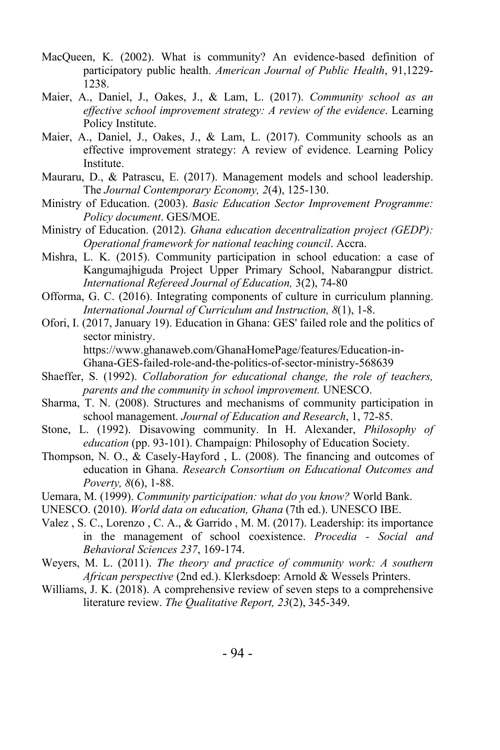- MacQueen, K. (2002). What is community? An evidence-based definition of participatory public health. *American Journal of Public Health*, 91,1229- 1238.
- Maier, A., Daniel, J., Oakes, J., & Lam, L. (2017). *Community school as an effective school improvement strategy: A review of the evidence*. Learning Policy Institute.
- Maier, A., Daniel, J., Oakes, J., & Lam, L. (2017). Community schools as an effective improvement strategy: A review of evidence. Learning Policy Institute.
- Mauraru, D., & Patrascu, E. (2017). Management models and school leadership. The *Journal Contemporary Economy, 2*(4), 125-130.
- Ministry of Education. (2003). *Basic Education Sector Improvement Programme: Policy document*. GES/MOE.
- Ministry of Education. (2012). *Ghana education decentralization project (GEDP): Operational framework for national teaching council*. Accra.
- Mishra, L. K. (2015). Community participation in school education: a case of Kangumajhiguda Project Upper Primary School, Nabarangpur district. *International Refereed Journal of Education,* 3(2), 74-80
- Offorma, G. C. (2016). Integrating components of culture in curriculum planning. *International Journal of Curriculum and Instruction, 8*(1), 1-8.
- Ofori, I. (2017, January 19). Education in Ghana: GES' failed role and the politics of sector ministry. https://www.ghanaweb.com/GhanaHomePage/features/Education-in-Ghana-GES-failed-role-and-the-politics-of-sector-ministry-568639
- Shaeffer, S. (1992). *Collaboration for educational change, the role of teachers, parents and the community in school improvement.* UNESCO.
- Sharma, T. N. (2008). Structures and mechanisms of community participation in school management. *Journal of Education and Research*, 1, 72-85.
- Stone, L. (1992). Disavowing community. In H. Alexander, *Philosophy of education* (pp. 93-101). Champaign: Philosophy of Education Society.
- Thompson, N. O., & Casely-Hayford , L. (2008). The financing and outcomes of education in Ghana. *Research Consortium on Educational Outcomes and Poverty, 8*(6), 1-88.
- Uemara, M. (1999). *Community participation: what do you know?* World Bank.
- UNESCO. (2010). *World data on education, Ghana* (7th ed.). UNESCO IBE.
- Valez , S. C., Lorenzo , C. A., & Garrido , M. M. (2017). Leadership: its importance in the management of school coexistence. *Procedia - Social and Behavioral Sciences 237*, 169-174.
- Weyers, M. L. (2011). *The theory and practice of community work: A southern African perspective* (2nd ed.). Klerksdoep: Arnold & Wessels Printers.
- Williams, J. K. (2018). A comprehensive review of seven steps to a comprehensive literature review. *The Qualitative Report, 23*(2), 345-349.